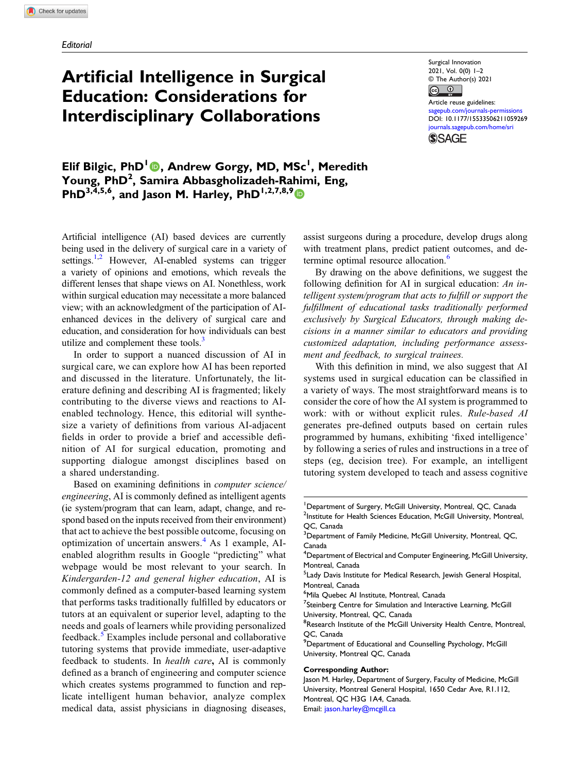# Artificial Intelligence in Surgical Education: Considerations for Interdisciplinary Collaborations

Surgical Innovation 2021, Vol. 0(0) 1–2 © The Author(s) 2021

 $\circledcirc$   $\circledcirc$ Article reuse guidelines: [sagepub.com/journals-permissions](https://us.sagepub.com/en-us/journals-permissions) DOI: [10.1177/15533506211059269](https://doi.org/10.1177/15533506211059269) [journals.sagepub.com/home/sri](https://journals.sagepub.com/home/sri) **SSAGE** 

Elif Bilgic, PhD<sup>I</sup> (D, Andrew Gorgy, MD, MSc<sup>1</sup>, Meredith Young, PhD<sup>2</sup>, Samira Abbasgholizadeh-Rahimi, Eng, PhD<sup>3,4,5,6</sup>, and Jason M. Harley, PhD<sup>1,2,7,8,9</sup>

Artificial intelligence (AI) based devices are currently being used in the delivery of surgical care in a variety of settings.<sup>1[,2](#page-1-1)</sup> However, AI-enabled systems can trigger a variety of opinions and emotions, which reveals the different lenses that shape views on AI. Nonethless, work within surgical education may necessitate a more balanced view; with an acknowledgment of the participation of AIenhanced devices in the delivery of surgical care and education, and consideration for how individuals can best utilize and complement these tools. $3$ 

In order to support a nuanced discussion of AI in surgical care, we can explore how AI has been reported and discussed in the literature. Unfortunately, the literature defining and describing AI is fragmented; likely contributing to the diverse views and reactions to AIenabled technology. Hence, this editorial will synthesize a variety of definitions from various AI-adjacent fields in order to provide a brief and accessible definition of AI for surgical education, promoting and supporting dialogue amongst disciplines based on a shared understanding.

Based on examining definitions in computer science/ engineering, AI is commonly defined as intelligent agents (ie system/program that can learn, adapt, change, and respond based on the inputs received from their environment) that act to achieve the best possible outcome, focusing on optimization of uncertain answers. $4$  As 1 example, AIenabled alogrithm results in Google "predicting" what webpage would be most relevant to your search. In Kindergarden-12 and general higher education, AI is commonly defined as a computer-based learning system that performs tasks traditionally fulfilled by educators or tutors at an equivalent or superior level, adapting to the needs and goals of learners while providing personalized feedback.<sup>3</sup> Examples include personal and collaborative tutoring systems that provide immediate, user-adaptive feedback to students. In health care, AI is commonly defined as a branch of engineering and computer science which creates systems programmed to function and replicate intelligent human behavior, analyze complex medical data, assist physicians in diagnosing diseases, assist surgeons during a procedure, develop drugs along with treatment plans, predict patient outcomes, and de-termine optimal resource allocation.<sup>[6](#page-1-5)</sup>

By drawing on the above definitions, we suggest the following definition for AI in surgical education: An intelligent system/program that acts to fulfill or support the fulfillment of educational tasks traditionally performed exclusively by Surgical Educators, through making decisions in a manner similar to educators and providing customized adaptation, including performance assessment and feedback, to surgical trainees.

With this definition in mind, we also suggest that AI systems used in surgical education can be classified in a variety of ways. The most straightforward means is to consider the core of how the AI system is programmed to work: with or without explicit rules. Rule-based AI generates pre-defined outputs based on certain rules programmed by humans, exhibiting 'fixed intelligence' by following a series of rules and instructions in a tree of steps (eg, decision tree). For example, an intelligent tutoring system developed to teach and assess cognitive

#### Corresponding Author:

<sup>&</sup>lt;sup>1</sup>Department of Surgery, McGill University, Montreal, QC, Canada <sup>2</sup>Institute for Health Sciences Education, McGill University, Montreal, QC, Canada

<sup>&</sup>lt;sup>3</sup>Department of Family Medicine, McGill University, Montreal, QC, Canada

<sup>4</sup> Department of Electrical and Computer Engineering, McGill University, Montreal, Canada

<sup>&</sup>lt;sup>5</sup> Lady Davis Institute for Medical Research, Jewish General Hospital, Montreal, Canada

<sup>6</sup> Mila Quebec AI Institute, Montreal, Canada

<sup>&</sup>lt;sup>7</sup>Steinberg Centre for Simulation and Interactive Learning, McGill University, Montreal, QC, Canada

<sup>&</sup>lt;sup>8</sup>Research Institute of the McGill University Health Centre, Montreal, QC, Canada

<sup>&</sup>lt;sup>9</sup> Department of Educational and Counselling Psychology, McGill University, Montreal QC, Canada

Jason M. Harley, Department of Surgery, Faculty of Medicine, McGill University, Montreal General Hospital, 1650 Cedar Ave, R1.112, Montreal, QC H3G 1A4, Canada. Email: [jason.harley@mcgill.ca](mailto:jason.harley@mcgill.ca)